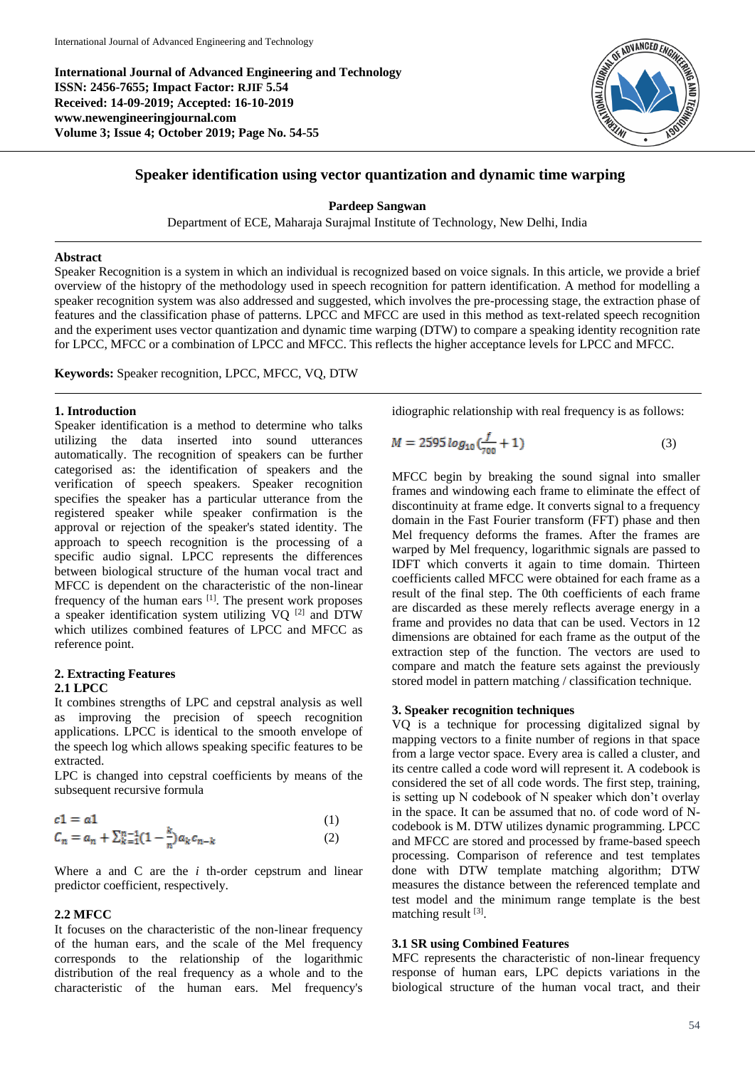**International Journal of Advanced Engineering and Technology ISSN: 2456-7655; Impact Factor: RJIF 5.54 Received: 14-09-2019; Accepted: 16-10-2019 www.newengineeringjournal.com Volume 3; Issue 4; October 2019; Page No. 54-55**



# **Speaker identification using vector quantization and dynamic time warping**

### **Pardeep Sangwan**

Department of ECE, Maharaja Surajmal Institute of Technology, New Delhi, India

### **Abstract**

Speaker Recognition is a system in which an individual is recognized based on voice signals. In this article, we provide a brief overview of the histopry of the methodology used in speech recognition for pattern identification. A method for modelling a speaker recognition system was also addressed and suggested, which involves the pre-processing stage, the extraction phase of features and the classification phase of patterns. LPCC and MFCC are used in this method as text-related speech recognition and the experiment uses vector quantization and dynamic time warping (DTW) to compare a speaking identity recognition rate for LPCC, MFCC or a combination of LPCC and MFCC. This reflects the higher acceptance levels for LPCC and MFCC.

**Keywords:** Speaker recognition, LPCC, MFCC, VQ, DTW

## **1. Introduction**

Speaker identification is a method to determine who talks utilizing the data inserted into sound utterances automatically. The recognition of speakers can be further categorised as: the identification of speakers and the verification of speech speakers. Speaker recognition specifies the speaker has a particular utterance from the registered speaker while speaker confirmation is the approval or rejection of the speaker's stated identity. The approach to speech recognition is the processing of a specific audio signal. LPCC represents the differences between biological structure of the human vocal tract and MFCC is dependent on the characteristic of the non-linear frequency of the human ears [1]. The present work proposes a speaker identification system utilizing VQ [2] and DTW which utilizes combined features of LPCC and MFCC as reference point.

### **2. Extracting Features 2.1 LPCC**

It combines strengths of LPC and cepstral analysis as well as improving the precision of speech recognition applications. LPCC is identical to the smooth envelope of

the speech log which allows speaking specific features to be extracted. LPC is changed into cepstral coefficients by means of the

subsequent recursive formula

$$
c1 = a1
$$
  
\n
$$
C_n = a_n + \sum_{k=1}^{n-1} (1 - \frac{k}{n}) a_k c_{n-k}
$$
  
\n(1)  
\n(2)

Where a and C are the *i* th-order cepstrum and linear predictor coefficient, respectively.

### **2.2 MFCC**

It focuses on the characteristic of the non-linear frequency of the human ears, and the scale of the Mel frequency corresponds to the relationship of the logarithmic distribution of the real frequency as a whole and to the characteristic of the human ears. Mel frequency's

idiographic relationship with real frequency is as follows:

$$
M = 2595 \log_{10} \left( \frac{f}{700} + 1 \right) \tag{3}
$$

MFCC begin by breaking the sound signal into smaller frames and windowing each frame to eliminate the effect of discontinuity at frame edge. It converts signal to a frequency domain in the Fast Fourier transform (FFT) phase and then Mel frequency deforms the frames. After the frames are warped by Mel frequency, logarithmic signals are passed to IDFT which converts it again to time domain. Thirteen coefficients called MFCC were obtained for each frame as a result of the final step. The 0th coefficients of each frame are discarded as these merely reflects average energy in a frame and provides no data that can be used. Vectors in 12 dimensions are obtained for each frame as the output of the extraction step of the function. The vectors are used to compare and match the feature sets against the previously stored model in pattern matching / classification technique.

#### **3. Speaker recognition techniques**

VQ is a technique for processing digitalized signal by mapping vectors to a finite number of regions in that space from a large vector space. Every area is called a cluster, and its centre called a code word will represent it. A codebook is considered the set of all code words. The first step, training, is setting up N codebook of N speaker which don't overlay in the space. It can be assumed that no. of code word of Ncodebook is M. DTW utilizes dynamic programming. LPCC and MFCC are stored and processed by frame-based speech processing. Comparison of reference and test templates done with DTW template matching algorithm; DTW measures the distance between the referenced template and test model and the minimum range template is the best matching result [3].

## **3.1 SR using Combined Features**

MFC represents the characteristic of non-linear frequency response of human ears, LPC depicts variations in the biological structure of the human vocal tract, and their